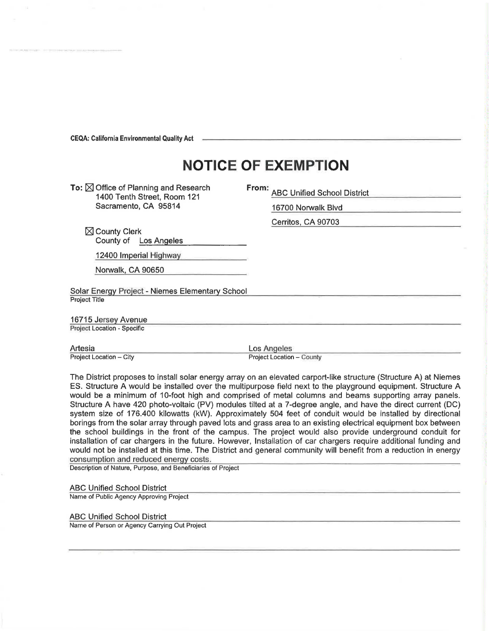**CEQA: California Environmental Quality Act** 

## **NOTICE OF EXEMPTION**

To:  $\boxtimes$  Office of Planning and Research 1400 Tenth Street, Room 121 Sacramento, CA 95814

**From:** ABC Unified School District

16700 Norwalk Blvd

Cerritos, CA 90703

 $\boxtimes$  County Clerk County of Los Angeles

12400 Imperial Highway

Norwalk, CA 90650

Solar Energy Project - Niemes Elementary School Project Title

16715 Jersey Avenue Project Location - Specific

Artesia Project Location - City

Los Angeles

Project Location - County

The District proposes to install solar energy array on an elevated carport-like structure (Structure A) at Niemes ES. Structure A would be installed over the multipurpose field next to the playground equipment. Structure A would be a minimum of 10-foot high and comprised of metal columns and beams supporting array panels. Structure A have 420 photo-voltaic (PV) modules tilted at a ?-degree angle, and have the direct current (DC) system size of 176.400 kilowatts (kW). Approximately 504 feet of conduit would be installed by directional borings from the solar array through paved lots and grass area to an existing electrical equipment box between the school buildings in the front of the campus. The project would also provide underground conduit for installation of car chargers in the future. However, Installation of car chargers require additional funding and would not be installed at this time. The District and general community will benefit from a reduction in energy consumption and reduced energy costs.

Description of Nature, Purpose, and Beneficiaries of Project

ABC Unified School District

Name of Public Agency Approving Project

ABC Unified School District

Name of Person or Agency Carrying Out Project